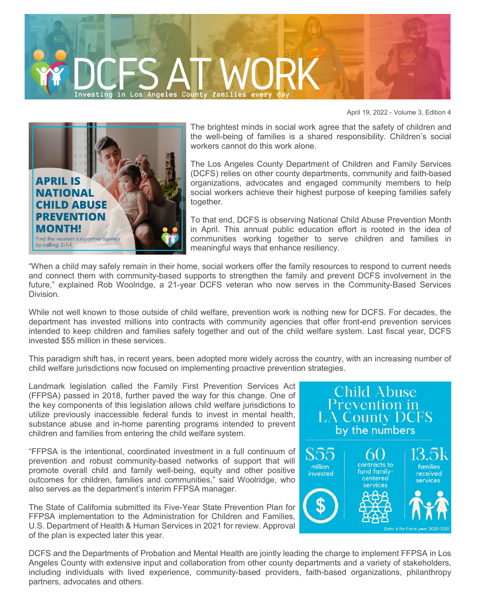

April 19, 2022 - Volume 3, Edition 4



The brightest minds in social work agree that the safety of children and the well-being of families is a shared responsibility. Children's social workers cannot do this work alone.

The Los Angeles County Department of Children and Family Services (DCFS) relies on other county departments, community and faith-based organizations, advocates and engaged community members to help social workers achieve their highest purpose of keeping families safely together.

To that end, DCFS is observing National Child Abuse Prevention Month in April. This annual public education effort is rooted in the idea of communities working together to serve children and families in meaningful ways that enhance resiliency.

"When a child may safely remain in their home, social workers offer the family resources to respond to current needs and connect them with community-based supports to strengthen the family and prevent DCFS involvement in the future," explained Rob Woolridge, a 21-year DCFS veteran who now serves in the Community-Based Services Division.

While not well known to those outside of child welfare, prevention work is nothing new for DCFS. For decades, the department has invested millions into contracts with community agencies that offer front-end prevention services intended to keep children and families safely together and out of the child welfare system. Last fiscal year, DCFS invested \$55 million in these services.

This paradigm shift has, in recent years, been adopted more widely across the country, with an increasing number of child welfare jurisdictions now focused on implementing proactive prevention strategies.

Landmark legislation called the Family First Prevention Services Act (FFPSA) passed in 2018, further paved the way for this change. One of the key components of this legislation allows child welfare jurisdictions to utilize previously inaccessible federal funds to invest in mental health, substance abuse and in-home parenting programs intended to prevent children and families from entering the child welfare system.

"FFPSA is the intentional, coordinated investment in a full continuum of prevention and robust community-based networks of support that will promote overall child and family well-being, equity and other positive outcomes for children, families and communities," said Woolridge, who also serves as the department's interim FFPSA manager.

The State of California submitted its Five-Year State Prevention Plan for FFPSA implementation to the Administration for Children and Families, U.S. Department of Health & Human Services in 2021 for review. Approval of the plan is expected later this year.



DCFS and the Departments of Probation and Mental Health are jointly leading the charge to implement FFPSA in Los Angeles County with extensive input and collaboration from other county departments and a variety of stakeholders, including individuals with lived experience, community-based providers, faith-based organizations, philanthropy partners, advocates and others.